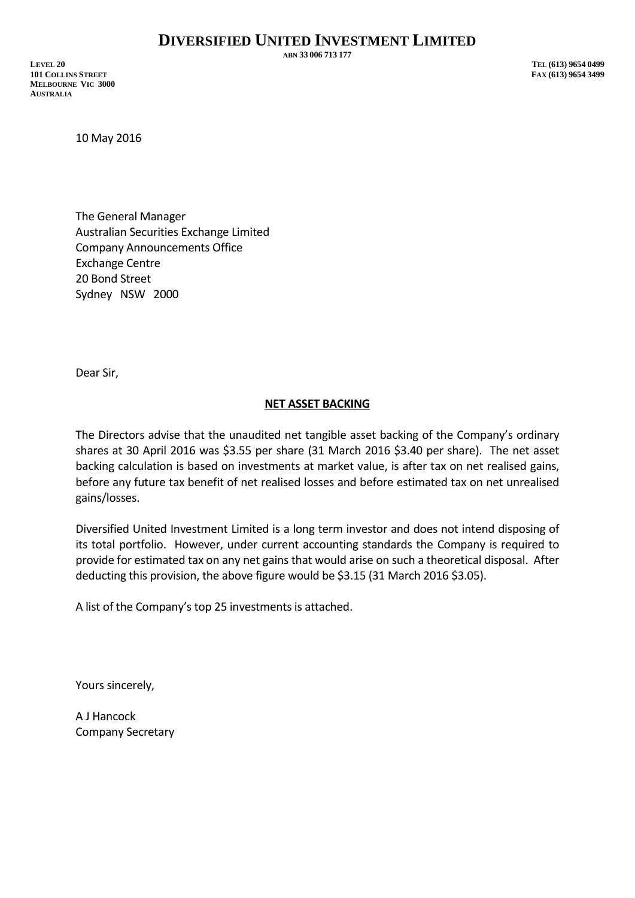**ABN 33 006 713 177**

**LEVEL 20 TEL (613) 9654 0499 101 COLLINS STREET FAX (613) 9654 3499 MELBOURNE VIC 3000 AUSTRALIA**

10 May 2016

The General Manager Australian Securities Exchange Limited Company Announcements Office Exchange Centre 20 Bond Street Sydney NSW 2000

Dear Sir,

## **NET ASSET BACKING**

The Directors advise that the unaudited net tangible asset backing of the Company's ordinary shares at 30 April 2016 was \$3.55 per share (31 March 2016 \$3.40 per share). The net asset backing calculation is based on investments at market value, is after tax on net realised gains, before any future tax benefit of net realised losses and before estimated tax on net unrealised gains/losses.

Diversified United Investment Limited is a long term investor and does not intend disposing of its total portfolio. However, under current accounting standards the Company is required to provide for estimated tax on any net gains that would arise on such a theoretical disposal. After deducting this provision, the above figure would be \$3.15 (31 March 2016 \$3.05).

A list of the Company's top 25 investments is attached.

Yours sincerely,

A J Hancock Company Secretary